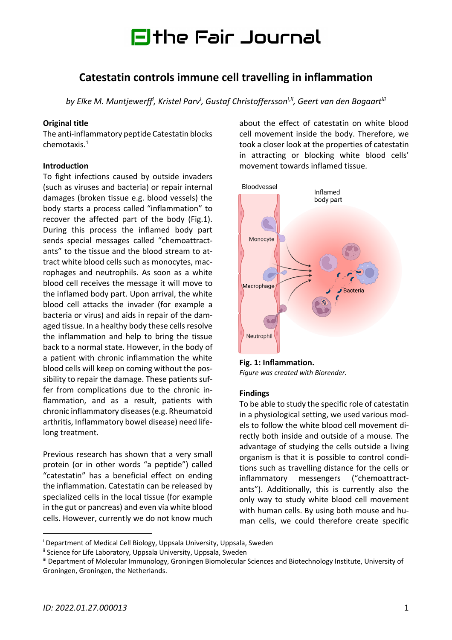# Fithe Fair Journal

# **Catestatin controls immune cell travelling in inflammation**

by Elke M. Muntjewerff<sup>i</sup>, Kristel Parv<sup>i</sup>, Gustaf Christoffersson<sup>i,ii</sup>, Geert van den Bogaart<sup>iii</sup>

#### **Original title**

The anti-inflammatory peptide Catestatin blocks chemotaxis. 1

## **Introduction**

To fight infections caused by outside invaders (such as viruses and bacteria) or repair internal damages (broken tissue e.g. blood vessels) the body starts a process called "inflammation" to recover the affected part of the body (Fig.1). During this process the inflamed body part sends special messages called "chemoattractants" to the tissue and the blood stream to attract white blood cells such as monocytes, macrophages and neutrophils. As soon as a white blood cell receives the message it will move to the inflamed body part. Upon arrival, the white blood cell attacks the invader (for example a bacteria or virus) and aids in repair of the damaged tissue. In a healthy body these cells resolve the inflammation and help to bring the tissue back to a normal state. However, in the body of a patient with chronic inflammation the white blood cells will keep on coming without the possibility to repair the damage. These patients suffer from complications due to the chronic inflammation, and as a result, patients with chronic inflammatory diseases (e.g. Rheumatoid arthritis, Inflammatory bowel disease) need lifelong treatment.

Previous research has shown that a very small protein (or in other words "a peptide") called "catestatin" has a beneficial effect on ending the inflammation. Catestatin can be released by specialized cells in the local tissue (for example in the gut or pancreas) and even via white blood cells. However, currently we do not know much

about the effect of catestatin on white blood cell movement inside the body. Therefore, we took a closer look at the properties of catestatin in attracting or blocking white blood cells' movement towards inflamed tissue.



**Fig. 1: Inflammation.**  *Figure was created with Biorender.*

#### **Findings**

To be able to study the specific role of catestatin in a physiological setting, we used various models to follow the white blood cell movement directly both inside and outside of a mouse. The advantage of studying the cells outside a living organism is that it is possible to control conditions such as travelling distance for the cells or inflammatory messengers ("chemoattractants"). Additionally, this is currently also the only way to study white blood cell movement with human cells. By using both mouse and human cells, we could therefore create specific

<sup>&</sup>lt;sup>i</sup> Department of Medical Cell Biology, Uppsala University, Uppsala, Sweden

<sup>&</sup>lt;sup>ii</sup> Science for Life Laboratory, Uppsala University, Uppsala, Sweden

iii Department of Molecular Immunology, Groningen Biomolecular Sciences and Biotechnology Institute, University of Groningen, Groningen, the Netherlands.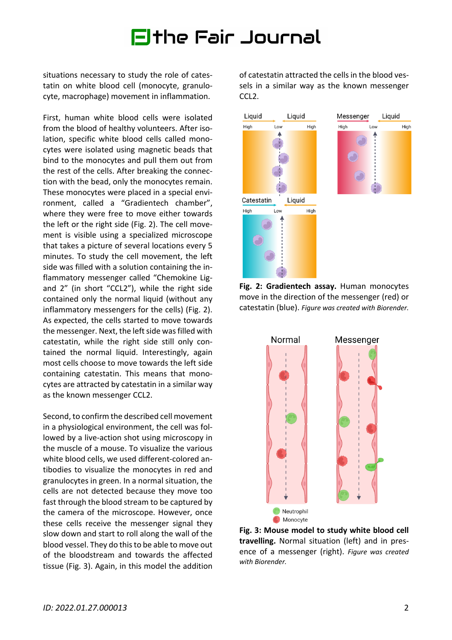# Fithe Fair Journal

situations necessary to study the role of catestatin on white blood cell (monocyte, granulocyte, macrophage) movement in inflammation.

First, human white blood cells were isolated from the blood of healthy volunteers. After isolation, specific white blood cells called monocytes were isolated using magnetic beads that bind to the monocytes and pull them out from the rest of the cells. After breaking the connection with the bead, only the monocytes remain. These monocytes were placed in a special environment, called a "Gradientech chamber", where they were free to move either towards the left or the right side (Fig. 2). The cell movement is visible using a specialized microscope that takes a picture of several locations every 5 minutes. To study the cell movement, the left side was filled with a solution containing the inflammatory messenger called "Chemokine Ligand 2" (in short "CCL2"), while the right side contained only the normal liquid (without any inflammatory messengers for the cells) (Fig. 2). As expected, the cells started to move towards the messenger. Next, the left side was filled with catestatin, while the right side still only contained the normal liquid. Interestingly, again most cells choose to move towards the left side containing catestatin. This means that monocytes are attracted by catestatin in a similar way as the known messenger CCL2.

Second, to confirm the described cell movement in a physiological environment, the cell was followed by a live-action shot using microscopy in the muscle of a mouse. To visualize the various white blood cells, we used different-colored antibodies to visualize the monocytes in red and granulocytes in green. In a normal situation, the cells are not detected because they move too fast through the blood stream to be captured by the camera of the microscope. However, once these cells receive the messenger signal they slow down and start to roll along the wall of the blood vessel. They do this to be able to move out of the bloodstream and towards the affected tissue (Fig. 3). Again, in this model the addition

of catestatin attracted the cells in the blood vessels in a similar way as the known messenger CCL<sub>2</sub>.



**Fig. 2: Gradientech assay.** Human monocytes move in the direction of the messenger (red) or catestatin (blue). *Figure was created with Biorender.*



**Fig. 3: Mouse model to study white blood cell travelling.** Normal situation (left) and in presence of a messenger (right). *Figure was created with Biorender.*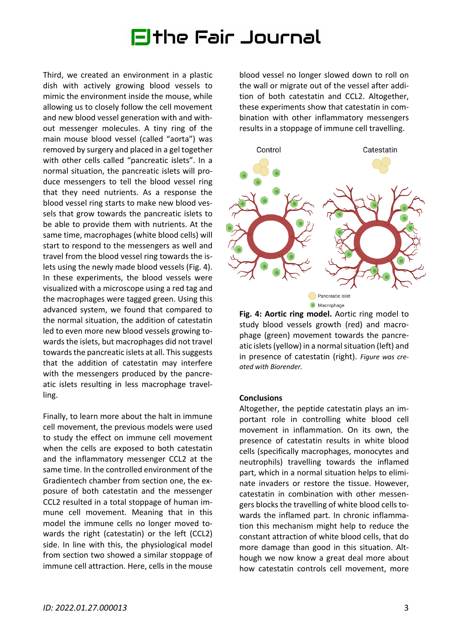# Elthe Fair Journal

Third, we created an environment in a plastic dish with actively growing blood vessels to mimic the environment inside the mouse, while allowing us to closely follow the cell movement and new blood vessel generation with and without messenger molecules. A tiny ring of the main mouse blood vessel (called "aorta") was removed by surgery and placed in a gel together with other cells called "pancreatic islets". In a normal situation, the pancreatic islets will produce messengers to tell the blood vessel ring that they need nutrients. As a response the blood vessel ring starts to make new blood vessels that grow towards the pancreatic islets to be able to provide them with nutrients. At the same time, macrophages (white blood cells) will start to respond to the messengers as well and travel from the blood vessel ring towards the islets using the newly made blood vessels (Fig. 4). In these experiments, the blood vessels were visualized with a microscope using a red tag and the macrophages were tagged green. Using this advanced system, we found that compared to the normal situation, the addition of catestatin led to even more new blood vessels growing towards the islets, but macrophages did not travel towards the pancreatic islets at all. This suggests that the addition of catestatin may interfere with the messengers produced by the pancreatic islets resulting in less macrophage travelling.

Finally, to learn more about the halt in immune cell movement, the previous models were used to study the effect on immune cell movement when the cells are exposed to both catestatin and the inflammatory messenger CCL2 at the same time. In the controlled environment of the Gradientech chamber from section one, the exposure of both catestatin and the messenger CCL2 resulted in a total stoppage of human immune cell movement. Meaning that in this model the immune cells no longer moved towards the right (catestatin) or the left (CCL2) side. In line with this, the physiological model from section two showed a similar stoppage of immune cell attraction. Here, cells in the mouse

blood vessel no longer slowed down to roll on the wall or migrate out of the vessel after addition of both catestatin and CCL2. Altogether, these experiments show that catestatin in combination with other inflammatory messengers results in a stoppage of immune cell travelling.



**Fig. 4: Aortic ring model.** Aortic ring model to study blood vessels growth (red) and macrophage (green) movement towards the pancreatic islets (yellow) in a normal situation (left) and in presence of catestatin (right). *Figure was created with Biorender.*

#### **Conclusions**

Altogether, the peptide catestatin plays an important role in controlling white blood cell movement in inflammation. On its own, the presence of catestatin results in white blood cells (specifically macrophages, monocytes and neutrophils) travelling towards the inflamed part, which in a normal situation helps to eliminate invaders or restore the tissue. However, catestatin in combination with other messengers blocks the travelling of white blood cells towards the inflamed part. In chronic inflammation this mechanism might help to reduce the constant attraction of white blood cells, that do more damage than good in this situation. Although we now know a great deal more about how catestatin controls cell movement, more